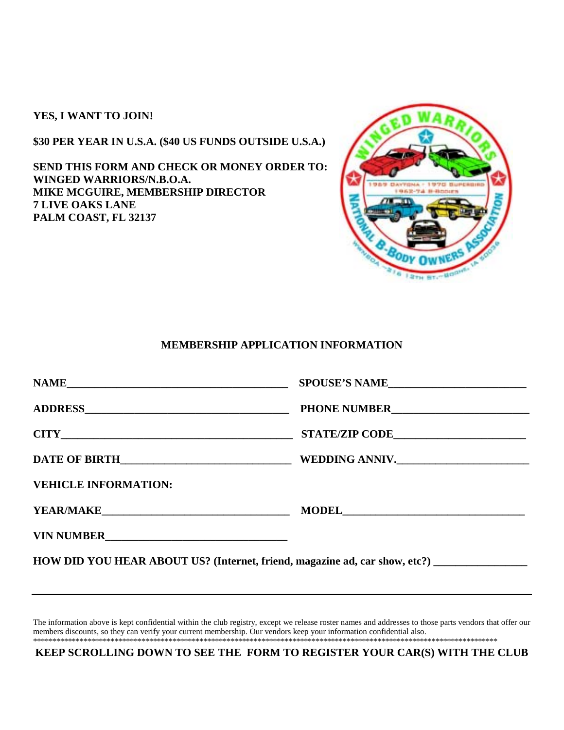**YES, I WANT TO JOIN!** 

**\$30 PER YEAR IN U.S.A. (\$40 US FUNDS OUTSIDE U.S.A.)** 

**SEND THIS FORM AND CHECK OR MONEY ORDER TO: WINGED WARRIORS/N.B.O.A. MIKE MCGUIRE, MEMBERSHIP DIRECTOR 7 LIVE OAKS LANE PALM COAST, FL 32137** 



## **MEMBERSHIP APPLICATION INFORMATION**

|                                                                                                                                                                                                                                        | SPOUSE'S NAME |  |
|----------------------------------------------------------------------------------------------------------------------------------------------------------------------------------------------------------------------------------------|---------------|--|
|                                                                                                                                                                                                                                        |               |  |
| $CITY$ and $CITY$ and $CITY$ are $CITY$ and $CYZ$ are $CYZ$ and $CZ$ are $CZ$ and $CZ$ are $CZ$ and $CZ$ are $CZ$ and $CZ$ are $CZ$ and $CZ$ are $CZ$ and $CZ$ are $CZ$ and $CZ$ are $CZ$ and $CZ$ are $CZ$ and $CZ$ are $CZ$ and $CZ$ |               |  |
| DATE OF BIRTH WEDDING ANNIV.                                                                                                                                                                                                           |               |  |
| <b>VEHICLE INFORMATION:</b>                                                                                                                                                                                                            |               |  |
| <b>YEAR/MAKE</b>                                                                                                                                                                                                                       |               |  |
| VIN NUMBER                                                                                                                                                                                                                             |               |  |
| HOW DID YOU HEAR ABOUT US? (Internet, friend, magazine ad, car show, etc?)                                                                                                                                                             |               |  |

The information above is kept confidential within the club registry, except we release roster names and addresses to those parts vendors that offer our members discounts, so they can verify your current membership. Our vendors keep your information confidential also. \*\*\*\*\*\*\*\*\*\*\*\*\*\*\*\*\*\*\*\*\*\*\*\*\*\*\*\*\*\*\*\*\*\*\*\*\*\*\*\*\*\*\*\*\*\*\*\*\*\*\*\*\*\*\*\*\*\*\*\*\*\*\*\*\*\*\*\*\*\*\*\*\*\*\*\*\*\*\*\*\*\*\*\*\*\*\*\*\*\*\*\*\*\*\*\*\*\*\*\*\*\*\*\*\*\*\*\*\*\*\*\*\*\*\*\*\*\*\*\*

**KEEP SCROLLING DOWN TO SEE THE FORM TO REGISTER YOUR CAR(S) WITH THE CLUB**